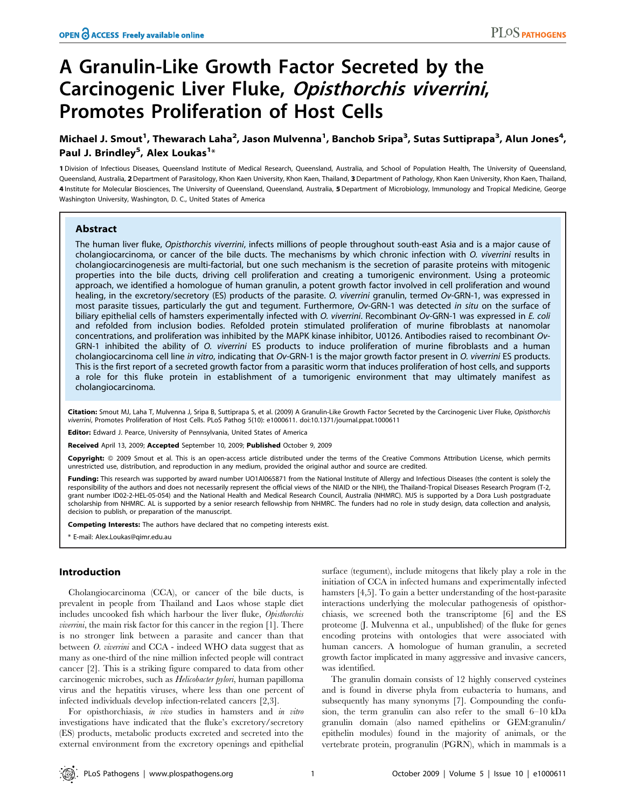# A Granulin-Like Growth Factor Secreted by the Carcinogenic Liver Fluke, Opisthorchis viverrini, Promotes Proliferation of Host Cells

## Michael J. Smout<sup>1</sup>, Thewarach Laha<sup>2</sup>, Jason Mulvenna<sup>1</sup>, Banchob Sripa<sup>3</sup>, Sutas Suttiprapa<sup>3</sup>, Alun Jones<sup>4</sup>, Paul J. Brindley<sup>5</sup>, Alex Loukas<sup>1</sup>\*

1 Division of Infectious Diseases, Queensland Institute of Medical Research, Queensland, Australia, and School of Population Health, The University of Queensland, Queensland, Australia, 2 Department of Parasitology, Khon Kaen University, Khon Kaen, Thailand, 3 Department of Pathology, Khon Kaen University, Khon Kaen, Thailand, 4 Institute for Molecular Biosciences, The University of Queensland, Queensland, Australia, 5 Department of Microbiology, Immunology and Tropical Medicine, George Washington University, Washington, D. C., United States of America

## Abstract

The human liver fluke, Opisthorchis viverrini, infects millions of people throughout south-east Asia and is a major cause of cholangiocarcinoma, or cancer of the bile ducts. The mechanisms by which chronic infection with O. viverrini results in cholangiocarcinogenesis are multi-factorial, but one such mechanism is the secretion of parasite proteins with mitogenic properties into the bile ducts, driving cell proliferation and creating a tumorigenic environment. Using a proteomic approach, we identified a homologue of human granulin, a potent growth factor involved in cell proliferation and wound healing, in the excretory/secretory (ES) products of the parasite. O. viverrini granulin, termed Ov-GRN-1, was expressed in most parasite tissues, particularly the gut and tegument. Furthermore, Ov-GRN-1 was detected in situ on the surface of biliary epithelial cells of hamsters experimentally infected with O. viverrini. Recombinant Ov-GRN-1 was expressed in E. coli and refolded from inclusion bodies. Refolded protein stimulated proliferation of murine fibroblasts at nanomolar concentrations, and proliferation was inhibited by the MAPK kinase inhibitor, U0126. Antibodies raised to recombinant Ov-GRN-1 inhibited the ability of O. viverrini ES products to induce proliferation of murine fibroblasts and a human cholangiocarcinoma cell line in vitro, indicating that Ov-GRN-1 is the major growth factor present in O. viverrini ES products. This is the first report of a secreted growth factor from a parasitic worm that induces proliferation of host cells, and supports a role for this fluke protein in establishment of a tumorigenic environment that may ultimately manifest as cholangiocarcinoma.

Citation: Smout MJ, Laha T, Mulvenna J, Sripa B, Suttiprapa S, et al. (2009) A Granulin-Like Growth Factor Secreted by the Carcinogenic Liver Fluke, Opisthorchis viverrini, Promotes Proliferation of Host Cells. PLoS Pathog 5(10): e1000611. doi:10.1371/journal.ppat.1000611

Editor: Edward J. Pearce, University of Pennsylvania, United States of America

Received April 13, 2009; Accepted September 10, 2009; Published October 9, 2009

Copyright: @ 2009 Smout et al. This is an open-access article distributed under the terms of the Creative Commons Attribution License, which permits unrestricted use, distribution, and reproduction in any medium, provided the original author and source are credited.

Funding: This research was supported by award number UO1AI065871 from the National Institute of Allergy and Infectious Diseases (the content is solely the responsibility of the authors and does not necessarily represent the official views of the NIAID or the NIH), the Thailand-Tropical Diseases Research Program (T-2, grant number ID02-2-HEL-05-054) and the National Health and Medical Research Council, Australia (NHMRC). MJS is supported by a Dora Lush postgraduate scholarship from NHMRC. AL is supported by a senior research fellowship from NHMRC. The funders had no role in study design, data collection and analysis, decision to publish, or preparation of the manuscript.

Competing Interests: The authors have declared that no competing interests exist.

\* E-mail: Alex.Loukas@qimr.edu.au

## Introduction

Cholangiocarcinoma (CCA), or cancer of the bile ducts, is prevalent in people from Thailand and Laos whose staple diet includes uncooked fish which harbour the liver fluke, Opisthorchis viverrini, the main risk factor for this cancer in the region [1]. There is no stronger link between a parasite and cancer than that between O. viverrini and CCA - indeed WHO data suggest that as many as one-third of the nine million infected people will contract cancer [2]. This is a striking figure compared to data from other carcinogenic microbes, such as Helicobacter pylori, human papilloma virus and the hepatitis viruses, where less than one percent of infected individuals develop infection-related cancers [2,3].

For opisthorchiasis, in vivo studies in hamsters and in vitro investigations have indicated that the fluke's excretory/secretory (ES) products, metabolic products excreted and secreted into the external environment from the excretory openings and epithelial surface (tegument), include mitogens that likely play a role in the initiation of CCA in infected humans and experimentally infected hamsters [4,5]. To gain a better understanding of the host-parasite interactions underlying the molecular pathogenesis of opisthorchiasis, we screened both the transcriptome [6] and the ES proteome (J. Mulvenna et al., unpublished) of the fluke for genes encoding proteins with ontologies that were associated with human cancers. A homologue of human granulin, a secreted growth factor implicated in many aggressive and invasive cancers, was identified.

The granulin domain consists of 12 highly conserved cysteines and is found in diverse phyla from eubacteria to humans, and subsequently has many synonyms [7]. Compounding the confusion, the term granulin can also refer to the small 6–10 kDa granulin domain (also named epithelins or GEM:granulin/ epithelin modules) found in the majority of animals, or the vertebrate protein, progranulin (PGRN), which in mammals is a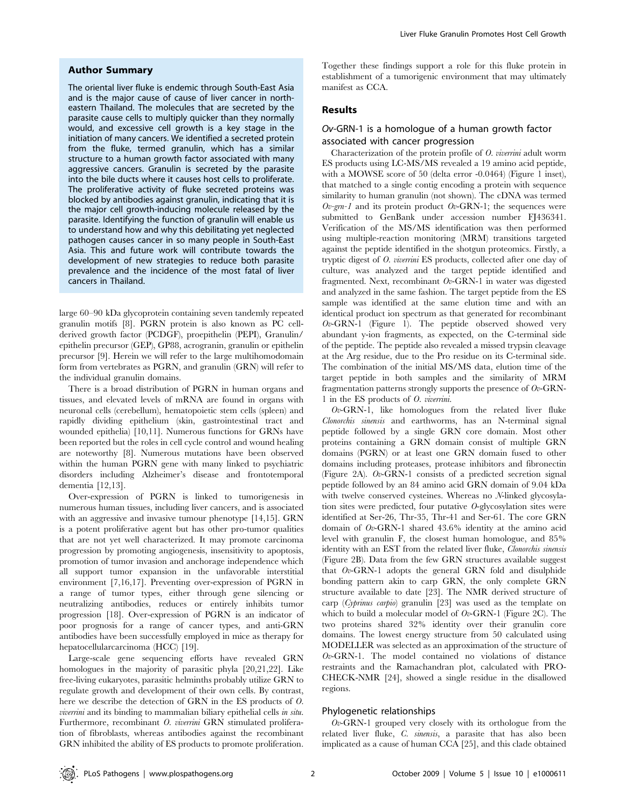### Author Summary

The oriental liver fluke is endemic through South-East Asia and is the major cause of cause of liver cancer in northeastern Thailand. The molecules that are secreted by the parasite cause cells to multiply quicker than they normally would, and excessive cell growth is a key stage in the initiation of many cancers. We identified a secreted protein from the fluke, termed granulin, which has a similar structure to a human growth factor associated with many aggressive cancers. Granulin is secreted by the parasite into the bile ducts where it causes host cells to proliferate. The proliferative activity of fluke secreted proteins was blocked by antibodies against granulin, indicating that it is the major cell growth-inducing molecule released by the parasite. Identifying the function of granulin will enable us to understand how and why this debilitating yet neglected pathogen causes cancer in so many people in South-East Asia. This and future work will contribute towards the development of new strategies to reduce both parasite prevalence and the incidence of the most fatal of liver cancers in Thailand.

large 60–90 kDa glycoprotein containing seven tandemly repeated granulin motifs [8]. PGRN protein is also known as PC cellderived growth factor (PCDGF), proepithelin (PEPI), Granulin/ epithelin precursor (GEP), GP88, acrogranin, granulin or epithelin precursor [9]. Herein we will refer to the large multihomodomain form from vertebrates as PGRN, and granulin (GRN) will refer to the individual granulin domains.

There is a broad distribution of PGRN in human organs and tissues, and elevated levels of mRNA are found in organs with neuronal cells (cerebellum), hematopoietic stem cells (spleen) and rapidly dividing epithelium (skin, gastrointestinal tract and wounded epithelia) [10,11]. Numerous functions for GRNs have been reported but the roles in cell cycle control and wound healing are noteworthy [8]. Numerous mutations have been observed within the human PGRN gene with many linked to psychiatric disorders including Alzheimer's disease and frontotemporal dementia [12,13].

Over-expression of PGRN is linked to tumorigenesis in numerous human tissues, including liver cancers, and is associated with an aggressive and invasive tumour phenotype [14,15]. GRN is a potent proliferative agent but has other pro-tumor qualities that are not yet well characterized. It may promote carcinoma progression by promoting angiogenesis, insensitivity to apoptosis, promotion of tumor invasion and anchorage independence which all support tumor expansion in the unfavorable interstitial environment [7,16,17]. Preventing over-expression of PGRN in a range of tumor types, either through gene silencing or neutralizing antibodies, reduces or entirely inhibits tumor progression [18]. Over-expression of PGRN is an indicator of poor prognosis for a range of cancer types, and anti-GRN antibodies have been successfully employed in mice as therapy for hepatocellularcarcinoma (HCC) [19].

Large-scale gene sequencing efforts have revealed GRN homologues in the majority of parasitic phyla [20,21,22]. Like free-living eukaryotes, parasitic helminths probably utilize GRN to regulate growth and development of their own cells. By contrast, here we describe the detection of GRN in the ES products of O. viverrini and its binding to mammalian biliary epithelial cells in situ. Furthermore, recombinant O. viverrini GRN stimulated proliferation of fibroblasts, whereas antibodies against the recombinant GRN inhibited the ability of ES products to promote proliferation.

Together these findings support a role for this fluke protein in establishment of a tumorigenic environment that may ultimately manifest as CCA.

## Results

## Ov-GRN-1 is a homologue of a human growth factor associated with cancer progression

Characterization of the protein profile of O. viverrini adult worm ES products using LC-MS/MS revealed a 19 amino acid peptide, with a MOWSE score of 50 (delta error -0.0464) (Figure 1 inset), that matched to a single contig encoding a protein with sequence similarity to human granulin (not shown). The cDNA was termed  $Ov$ -grn-1 and its protein product  $Ov$ -GRN-1; the sequences were submitted to GenBank under accession number FJ436341. Verification of the MS/MS identification was then performed using multiple-reaction monitoring (MRM) transitions targeted against the peptide identified in the shotgun proteomics. Firstly, a tryptic digest of O. viverrini ES products, collected after one day of culture, was analyzed and the target peptide identified and fragmented. Next, recombinant  $Ov$ -GRN-1 in water was digested and analyzed in the same fashion. The target peptide from the ES sample was identified at the same elution time and with an identical product ion spectrum as that generated for recombinant  $Ov$ -GRN-1 (Figure 1). The peptide observed showed very abundant y-ion fragments, as expected, on the C-terminal side of the peptide. The peptide also revealed a missed trypsin cleavage at the Arg residue, due to the Pro residue on its C-terminal side. The combination of the initial MS/MS data, elution time of the target peptide in both samples and the similarity of MRM fragmentation patterns strongly supports the presence of Ov-GRN-1 in the ES products of O. viverrini.

 $Ov$ -GRN-1, like homologues from the related liver fluke Clonorchis sinensis and earthworms, has an N-terminal signal peptide followed by a single GRN core domain. Most other proteins containing a GRN domain consist of multiple GRN domains (PGRN) or at least one GRN domain fused to other domains including proteases, protease inhibitors and fibronectin (Figure 2A). Ov-GRN-1 consists of a predicted secretion signal peptide followed by an 84 amino acid GRN domain of 9.04 kDa with twelve conserved cysteines. Whereas no N-linked glycosylation sites were predicted, four putative O-glycosylation sites were identified at Ser-26, Thr-35, Thr-41 and Ser-61. The core GRN domain of Ov-GRN-1 shared 43.6% identity at the amino acid level with granulin F, the closest human homologue, and 85% identity with an EST from the related liver fluke, *Clonorchis sinensis* (Figure 2B). Data from the few GRN structures available suggest that  $Ov$ -GRN-1 adopts the general GRN fold and disulphide bonding pattern akin to carp GRN, the only complete GRN structure available to date [23]. The NMR derived structure of carp (Cyprinus carpio) granulin [23] was used as the template on which to build a molecular model of  $Ov$ -GRN-1 (Figure 2C). The two proteins shared 32% identity over their granulin core domains. The lowest energy structure from 50 calculated using MODELLER was selected as an approximation of the structure of  $Ov$ -GRN-1. The model contained no violations of distance restraints and the Ramachandran plot, calculated with PRO-CHECK-NMR [24], showed a single residue in the disallowed regions.

#### Phylogenetic relationships

 $Ov$ -GRN-1 grouped very closely with its orthologue from the related liver fluke, C. sinensis, a parasite that has also been implicated as a cause of human CCA [25], and this clade obtained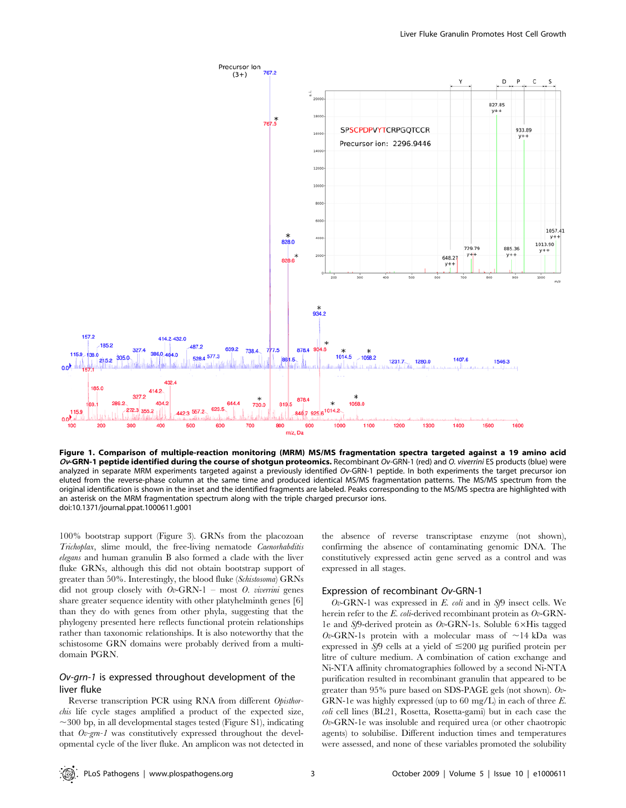

Figure 1. Comparison of multiple-reaction monitoring (MRM) MS/MS fragmentation spectra targeted against a 19 amino acid Ov-GRN-1 peptide identified during the course of shotgun proteomics. Recombinant Ov-GRN-1 (red) and O. viverrini ES products (blue) were analyzed in separate MRM experiments targeted against a previously identified Ov-GRN-1 peptide. In both experiments the target precursor ion eluted from the reverse-phase column at the same time and produced identical MS/MS fragmentation patterns. The MS/MS spectrum from the original identification is shown in the inset and the identified fragments are labeled. Peaks corresponding to the MS/MS spectra are highlighted with an asterisk on the MRM fragmentation spectrum along with the triple charged precursor ions. doi:10.1371/journal.ppat.1000611.g001

100% bootstrap support (Figure 3). GRNs from the placozoan Trichoplax, slime mould, the free-living nematode Caenorhabditis elegans and human granulin B also formed a clade with the liver fluke GRNs, although this did not obtain bootstrap support of greater than 50%. Interestingly, the blood fluke (Schistosoma) GRNs did not group closely with  $Ov$ -GRN-1 – most *O. viverrini* genes share greater sequence identity with other platyhelminth genes [6] than they do with genes from other phyla, suggesting that the phylogeny presented here reflects functional protein relationships rather than taxonomic relationships. It is also noteworthy that the schistosome GRN domains were probably derived from a multidomain PGRN.

## Ov-grn-1 is expressed throughout development of the liver fluke

Reverse transcription PCR using RNA from different Opisthorchis life cycle stages amplified a product of the expected size,  $\sim$ 300 bp, in all developmental stages tested (Figure S1), indicating that  $Ov$ -grn-1 was constitutively expressed throughout the developmental cycle of the liver fluke. An amplicon was not detected in

the absence of reverse transcriptase enzyme (not shown), confirming the absence of contaminating genomic DNA. The constitutively expressed actin gene served as a control and was expressed in all stages.

#### Expression of recombinant Ov-GRN-1

 $Ov$ -GRN-1 was expressed in E. coli and in Sf9 insect cells. We herein refer to the E. coli-derived recombinant protein as  $Ov$ -GRN-1e and  $S/9$ -derived protein as  $Ov$ -GRN-1s. Soluble 6×His tagged Ov-GRN-1s protein with a molecular mass of  $\sim$ 14 kDa was expressed in Sf9 cells at a yield of  $\leq$ 200 µg purified protein per litre of culture medium. A combination of cation exchange and Ni-NTA affinity chromatographies followed by a second Ni-NTA purification resulted in recombinant granulin that appeared to be greater than 95% pure based on SDS-PAGE gels (not shown). Ov-GRN-1e was highly expressed (up to 60 mg/L) in each of three E. coli cell lines (BL21, Rosetta, Rosetta-gami) but in each case the  $Ov$ -GRN-1e was insoluble and required urea (or other chaotropic agents) to solubilise. Different induction times and temperatures were assessed, and none of these variables promoted the solubility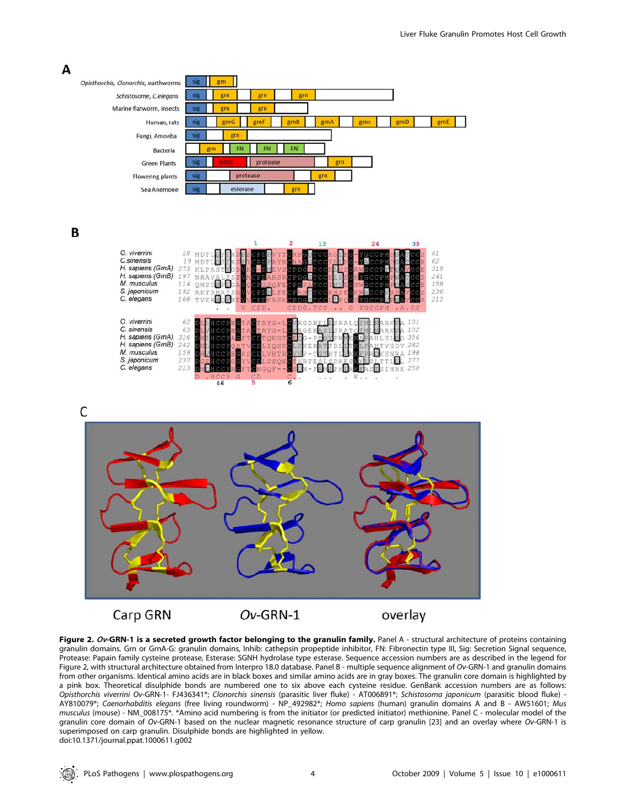

Figure 2. Ov-GRN-1 is a secreted growth factor belonging to the granulin family. Panel A - structural architecture of proteins containing granulin domains. Grn or GrnA-G: granulin domains, Inhib: cathepsin propeptide inhibitor, FN: Fibronectin type III, Sig: Secretion Signal sequence, Protease: Papain family cysteine protease, Esterase: SGNH hydrolase type esterase. Sequence accession numbers are as described in the legend for Figure 2, with structural architecture obtained from Interpro 18.0 database. Panel B - multiple sequence alignment of Ov-GRN-1 and granulin domains from other organisms. Identical amino acids are in black boxes and similar amino acids are in gray boxes. The granulin core domain is highlighted by a pink box. Theoretical disulphide bonds are numbered one to six above each cysteine residue. GenBank accession numbers are as follows: Opisthorchis viverrini Ov-GRN-1- FJ436341\*; Clonorchis sinensis (parasitic liver fluke) - AT006891\*; Schistosoma japonicum (parasitic blood fluke) - AY810079\*; Caenorhabditis elegans (free living roundworm) - NP\_492982\*; Homo sapiens (human) granulin domains A and B - AW51601; Mus musculus (mouse) - NM\_008175\*. \*Amino acid numbering is from the initiator (or predicted initiator) methionine. Panel C - molecular model of the granulin core domain of Ov-GRN-1 based on the nuclear magnetic resonance structure of carp granulin [23] and an overlay where Ov-GRN-1 is superimposed on carp granulin. Disulphide bonds are highlighted in yellow. doi:10.1371/journal.ppat.1000611.g002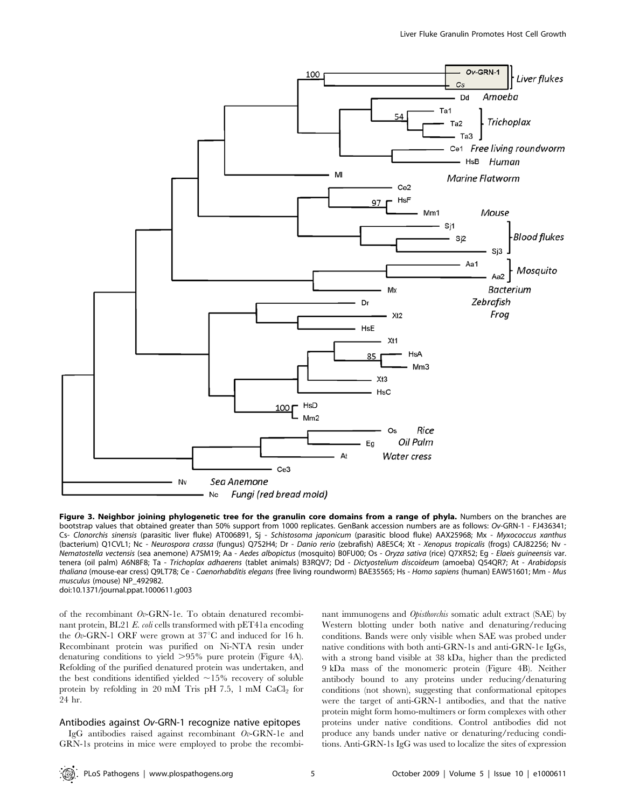

Figure 3. Neighbor joining phylogenetic tree for the granulin core domains from a range of phyla. Numbers on the branches are bootstrap values that obtained greater than 50% support from 1000 replicates. GenBank accession numbers are as follows: Ov-GRN-1 - FJ436341; Cs- Clonorchis sinensis (parasitic liver fluke) AT006891, Sj - Schistosoma japonicum (parasitic blood fluke) AAX25968; Mx - Myxococcus xanthus (bacterium) Q1CVL1; Nc - Neurospora crassa (fungus) Q7S2H4; Dr - Danio rerio (zebrafish) A8E5C4; Xt - Xenopus tropicalis (frogs) CAJ82256; Nv - Nematostella vectensis (sea anemone) A7SM19; Aa - Aedes albopictus (mosquito) B0FU00; Os - Oryza sativa (rice) Q7XR52; Eg - Elaeis guineensis var. tenera (oil palm) A6N8F8; Ta - Trichoplax adhaerens (tablet animals) B3RQV7; Dd - Dictyostelium discoideum (amoeba) Q54QR7; At - Arabidopsis thaliana (mouse-ear cress) Q9LT78; Ce - Caenorhabditis elegans (free living roundworm) BAE35565; Hs - Homo sapiens (human) EAW51601; Mm - Mus musculus (mouse) NP\_492982.

doi:10.1371/journal.ppat.1000611.g003

of the recombinant Ov-GRN-1e. To obtain denatured recombinant protein, BL21 E. coli cells transformed with pET41a encoding the Ov-GRN-1 ORF were grown at  $37^{\circ}$ C and induced for 16 h. Recombinant protein was purified on Ni-NTA resin under denaturing conditions to yield  $>95\%$  pure protein (Figure 4A). Refolding of the purified denatured protein was undertaken, and the best conditions identified yielded  $\sim$ 15% recovery of soluble protein by refolding in 20 mM Tris pH 7.5, 1 mM  $CaCl<sub>2</sub>$  for 24 hr.

#### Antibodies against Ov-GRN-1 recognize native epitopes

IgG antibodies raised against recombinant Ov-GRN-1e and GRN-1s proteins in mice were employed to probe the recombinant immunogens and Opisthorchis somatic adult extract (SAE) by Western blotting under both native and denaturing/reducing conditions. Bands were only visible when SAE was probed under native conditions with both anti-GRN-1s and anti-GRN-1e IgGs, with a strong band visible at 38 kDa, higher than the predicted 9 kDa mass of the monomeric protein (Figure 4B). Neither antibody bound to any proteins under reducing/denaturing conditions (not shown), suggesting that conformational epitopes were the target of anti-GRN-1 antibodies, and that the native protein might form homo-multimers or form complexes with other proteins under native conditions. Control antibodies did not produce any bands under native or denaturing/reducing conditions. Anti-GRN-1s IgG was used to localize the sites of expression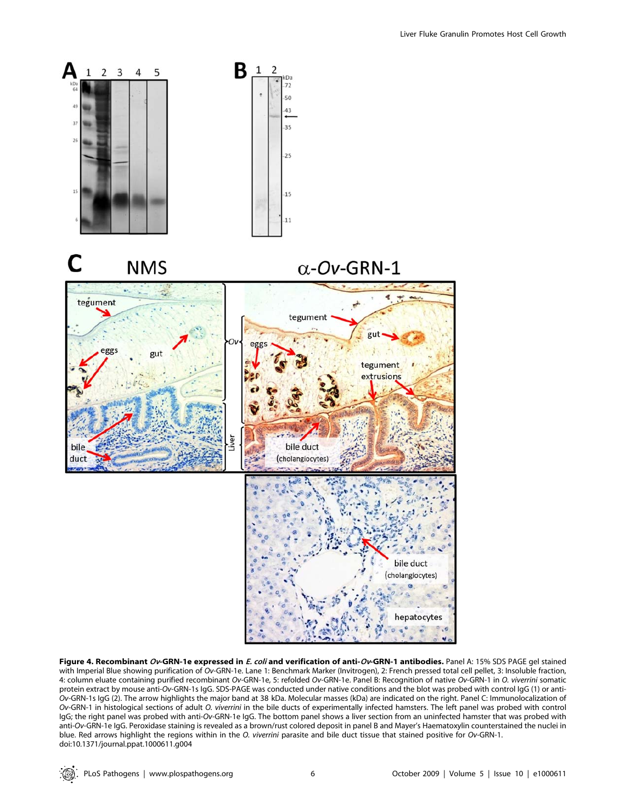

Figure 4. Recombinant Ov-GRN-1e expressed in E. coli and verification of anti-Ov-GRN-1 antibodies. Panel A: 15% SDS PAGE gel stained with Imperial Blue showing purification of Ov-GRN-1e. Lane 1: Benchmark Marker (Invitrogen), 2: French pressed total cell pellet, 3: Insoluble fraction, 4: column eluate containing purified recombinant Ov-GRN-1e, 5: refolded Ov-GRN-1e. Panel B: Recognition of native Ov-GRN-1 in O. viverrini somatic protein extract by mouse anti-Ov-GRN-1s IgG. SDS-PAGE was conducted under native conditions and the blot was probed with control IgG (1) or anti-Ov-GRN-1s IgG (2). The arrow highlights the major band at 38 kDa. Molecular masses (kDa) are indicated on the right. Panel C: Immunolocalization of Ov-GRN-1 in histological sections of adult O. viverrini in the bile ducts of experimentally infected hamsters. The left panel was probed with control IgG; the right panel was probed with anti-Ov-GRN-1e IgG. The bottom panel shows a liver section from an uninfected hamster that was probed with anti-Ov-GRN-1e IgG. Peroxidase staining is revealed as a brown/rust colored deposit in panel B and Mayer's Haematoxylin counterstained the nuclei in blue. Red arrows highlight the regions within in the O. viverrini parasite and bile duct tissue that stained positive for Ov-GRN-1. doi:10.1371/journal.ppat.1000611.g004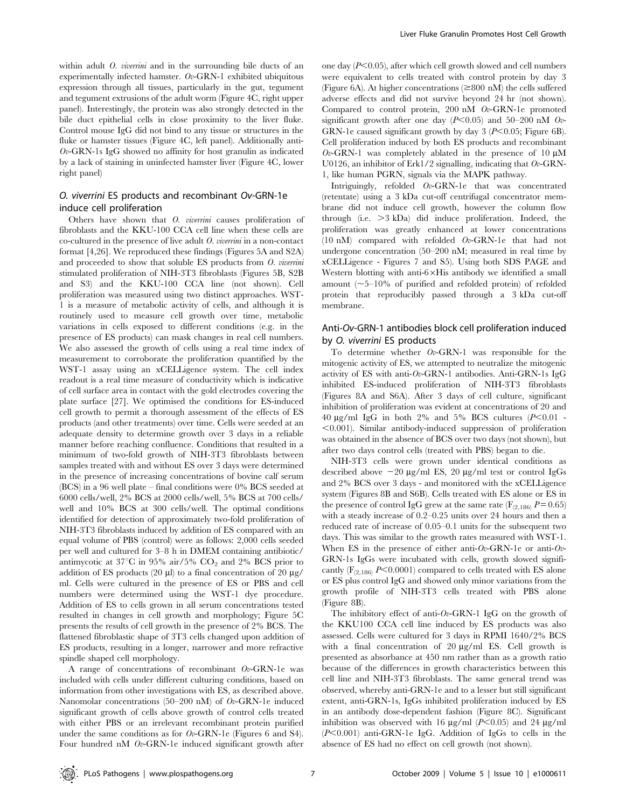within adult *O. viverrini* and in the surrounding bile ducts of an experimentally infected hamster.  $Ov$ -GRN-1 exhibited ubiquitous expression through all tissues, particularly in the gut, tegument and tegument extrusions of the adult worm (Figure 4C, right upper panel). Interestingly, the protein was also strongly detected in the bile duct epithelial cells in close proximity to the liver fluke. Control mouse IgG did not bind to any tissue or structures in the fluke or hamster tissues (Figure 4C, left panel). Additionally anti- $Ov$ -GRN-1s IgG showed no affinity for host granulin as indicated by a lack of staining in uninfected hamster liver (Figure 4C, lower right panel)

## O. viverrini ES products and recombinant Ov-GRN-1e induce cell proliferation

Others have shown that O. viverrini causes proliferation of fibroblasts and the KKU-100 CCA cell line when these cells are co-cultured in the presence of live adult O. viverrini in a non-contact format [4,26]. We reproduced these findings (Figures 5A and S2A) and proceeded to show that soluble ES products from O. viverrini stimulated proliferation of NIH-3T3 fibroblasts (Figures 5B, S2B and S3) and the KKU-100 CCA line (not shown). Cell proliferation was measured using two distinct approaches. WST-1 is a measure of metabolic activity of cells, and although it is routinely used to measure cell growth over time, metabolic variations in cells exposed to different conditions (e.g. in the presence of ES products) can mask changes in real cell numbers. We also assessed the growth of cells using a real time index of measurement to corroborate the proliferation quantified by the WST-1 assay using an xCELLigence system. The cell index readout is a real time measure of conductivity which is indicative of cell surface area in contact with the gold electrodes covering the plate surface [27]. We optimised the conditions for ES-induced cell growth to permit a thorough assessment of the effects of ES products (and other treatments) over time. Cells were seeded at an adequate density to determine growth over 3 days in a reliable manner before reaching confluence. Conditions that resulted in a minimum of two-fold growth of NIH-3T3 fibroblasts between samples treated with and without ES over 3 days were determined in the presence of increasing concentrations of bovine calf serum (BCS) in a 96 well plate – final conditions were 0% BCS seeded at 6000 cells/well, 2% BCS at 2000 cells/well, 5% BCS at 700 cells/ well and 10% BCS at 300 cells/well. The optimal conditions identified for detection of approximately two-fold proliferation of NIH-3T3 fibroblasts induced by addition of ES compared with an equal volume of PBS (control) were as follows: 2,000 cells seeded per well and cultured for 3–8 h in DMEM containing antibiotic/ antimycotic at  $37^{\circ}$ C in  $95\%$  air/5%  $CO_2$  and 2% BCS prior to addition of ES products (20  $\mu$ l) to a final concentration of 20  $\mu$ g/ ml. Cells were cultured in the presence of ES or PBS and cell numbers were determined using the WST-1 dye procedure. Addition of ES to cells grown in all serum concentrations tested resulted in changes in cell growth and morphology; Figure 5C presents the results of cell growth in the presence of 2% BCS. The flattened fibroblastic shape of 3T3 cells changed upon addition of ES products, resulting in a longer, narrower and more refractive spindle shaped cell morphology.

A range of concentrations of recombinant  $Ov$ -GRN-1e was included with cells under different culturing conditions, based on information from other investigations with ES, as described above. Nanomolar concentrations (50–200 nM) of Ov-GRN-1e induced significant growth of cells above growth of control cells treated with either PBS or an irrelevant recombinant protein purified under the same conditions as for  $Ov$ -GRN-1e (Figures 6 and S4). Four hundred nM Ov-GRN-1e induced significant growth after

one day  $(P<0.05)$ , after which cell growth slowed and cell numbers were equivalent to cells treated with control protein by day 3 (Figure 6A). At higher concentrations  $(\geq 800 \text{ nM})$  the cells suffered adverse effects and did not survive beyond 24 hr (not shown). Compared to control protein, 200 nM Ov-GRN-1e promoted significant growth after one day ( $P<0.05$ ) and 50–200 nM Ov-GRN-1e caused significant growth by day 3 ( $P<0.05$ ; Figure 6B). Cell proliferation induced by both ES products and recombinant  $Ov$ -GRN-1 was completely ablated in the presence of 10  $\mu$ M U0126, an inhibitor of Erk1/2 signalling, indicating that  $Ov$ -GRN-1, like human PGRN, signals via the MAPK pathway.

Intriguingly, refolded Ov-GRN-1e that was concentrated (retentate) using a 3 kDa cut-off centrifugal concentrator membrane did not induce cell growth, however the column flow through (i.e.  $>3$  kDa) did induce proliferation. Indeed, the proliferation was greatly enhanced at lower concentrations (10 nM) compared with refolded Ov-GRN-1e that had not undergone concentration (50–200 nM; measured in real time by xCELLigence - Figures 7 and S5). Using both SDS PAGE and Western blotting with anti- $6\times$ His antibody we identified a small amount  $(\sim]5-10\%$  of purified and refolded protein) of refolded protein that reproducibly passed through a 3 kDa cut-off membrane.

## Anti-Ov-GRN-1 antibodies block cell proliferation induced by O. viverrini ES products

To determine whether  $Ov$ -GRN-1 was responsible for the mitogenic activity of ES, we attempted to neutralize the mitogenic activity of ES with anti- $Ov$ -GRN-1 antibodies. Anti-GRN-1s IgG inhibited ES-induced proliferation of NIH-3T3 fibroblasts (Figures 8A and S6A). After 3 days of cell culture, significant inhibition of proliferation was evident at concentrations of 20 and 40  $\mu$ g/ml IgG in both 2% and 5% BCS cultures (P<0.01 - $\leq$ 0.001). Similar antibody-induced suppression of proliferation was obtained in the absence of BCS over two days (not shown), but after two days control cells (treated with PBS) began to die.

NIH-3T3 cells were grown under identical conditions as described above  $-20 \mu g/ml$  ES, 20  $\mu g/ml$  test or control IgGs and 2% BCS over 3 days - and monitored with the xCELLigence system (Figures 8B and S6B). Cells treated with ES alone or ES in the presence of control IgG grew at the same rate ( $F_{(2,186)}$   $P = 0.65$ ) with a steady increase of 0.2–0.25 units over 24 hours and then a reduced rate of increase of 0.05–0.1 units for the subsequent two days. This was similar to the growth rates measured with WST-1. When ES in the presence of either anti- $Ov$ -GRN-1e or anti- $Ov$ -GRN-1s IgGs were incubated with cells, growth slowed significantly  $(F_{(2,186)}$  P $\leq$ 0.0001) compared to cells treated with ES alone or ES plus control IgG and showed only minor variations from the growth profile of NIH-3T3 cells treated with PBS alone (Figure 8B).

The inhibitory effect of anti- $Ov$ -GRN-1 IgG on the growth of the KKU100 CCA cell line induced by ES products was also assessed. Cells were cultured for 3 days in RPMI 1640/2% BCS with a final concentration of  $20 \mu g/ml$  ES. Cell growth is presented as absorbance at 450 nm rather than as a growth ratio because of the differences in growth characteristics between this cell line and NIH-3T3 fibroblasts. The same general trend was observed, whereby anti-GRN-1e and to a lesser but still significant extent, anti-GRN-1s, IgGs inhibited proliferation induced by ES in an antibody dose-dependent fashion (Figure 8C). Significant inhibition was observed with 16  $\mu$ g/ml (P<0.05) and 24  $\mu$ g/ml  $(P<0.001)$  anti-GRN-1e IgG. Addition of IgGs to cells in the absence of ES had no effect on cell growth (not shown).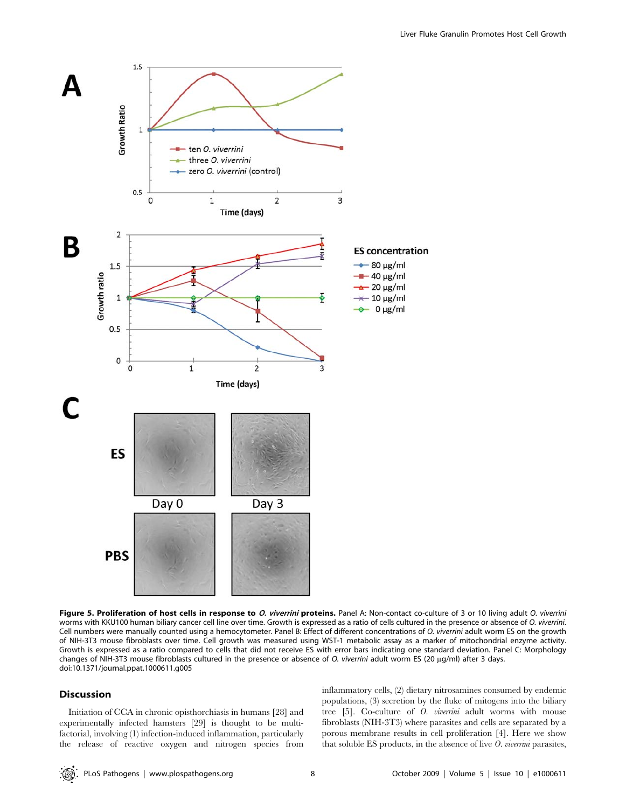

Figure 5. Proliferation of host cells in response to O. viverrini proteins. Panel A: Non-contact co-culture of 3 or 10 living adult O. viverrini worms with KKU100 human biliary cancer cell line over time. Growth is expressed as a ratio of cells cultured in the presence or absence of O. viverrini. Cell numbers were manually counted using a hemocytometer. Panel B: Effect of different concentrations of O. viverrini adult worm ES on the growth of NIH-3T3 mouse fibroblasts over time. Cell growth was measured using WST-1 metabolic assay as a marker of mitochondrial enzyme activity. Growth is expressed as a ratio compared to cells that did not receive ES with error bars indicating one standard deviation. Panel C: Morphology changes of NIH-3T3 mouse fibroblasts cultured in the presence or absence of O. viverrini adult worm ES (20 µg/ml) after 3 days. doi:10.1371/journal.ppat.1000611.g005

## Discussion

Initiation of CCA in chronic opisthorchiasis in humans [28] and experimentally infected hamsters [29] is thought to be multifactorial, involving (1) infection-induced inflammation, particularly the release of reactive oxygen and nitrogen species from inflammatory cells, (2) dietary nitrosamines consumed by endemic populations, (3) secretion by the fluke of mitogens into the biliary tree [5]. Co-culture of O. viverrini adult worms with mouse fibroblasts (NIH-3T3) where parasites and cells are separated by a porous membrane results in cell proliferation [4]. Here we show that soluble ES products, in the absence of live  $O.$  viverrini parasites,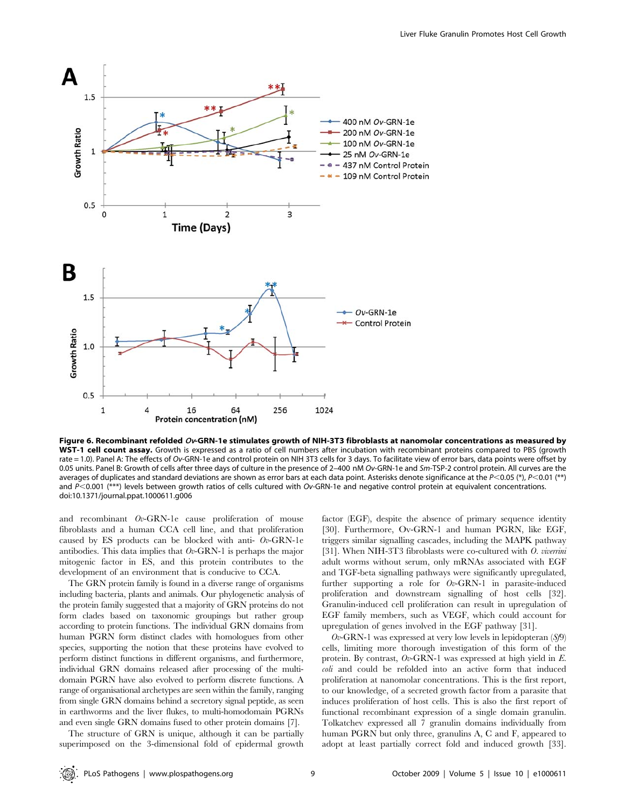

Figure 6. Recombinant refolded  $Ov$ -GRN-1e stimulates growth of NIH-3T3 fibroblasts at nanomolar concentrations as measured by WST-1 cell count assay. Growth is expressed as a ratio of cell numbers after incubation with recombinant proteins compared to PBS (growth rate = 1.0). Panel A: The effects of Ov-GRN-1e and control protein on NIH 3T3 cells for 3 days. To facilitate view of error bars, data points were offset by 0.05 units. Panel B: Growth of cells after three days of culture in the presence of 2-400 nM Ov-GRN-1e and Sm-TSP-2 control protein. All curves are the averages of duplicates and standard deviations are shown as error bars at each data point. Asterisks denote significance at the  $P<0.05$  (\*),  $P<0.01$  (\*\*) and  $P<0.001$  (\*\*\*) levels between growth ratios of cells cultured with Ov-GRN-1e and negative control protein at equivalent concentrations. doi:10.1371/journal.ppat.1000611.g006

and recombinant Ov-GRN-1e cause proliferation of mouse fibroblasts and a human CCA cell line, and that proliferation caused by ES products can be blocked with anti-  $Ov$ -GRN-1e antibodies. This data implies that  $Ov$ -GRN-1 is perhaps the major mitogenic factor in ES, and this protein contributes to the development of an environment that is conducive to CCA.

The GRN protein family is found in a diverse range of organisms including bacteria, plants and animals. Our phylogenetic analysis of the protein family suggested that a majority of GRN proteins do not form clades based on taxonomic groupings but rather group according to protein functions. The individual GRN domains from human PGRN form distinct clades with homologues from other species, supporting the notion that these proteins have evolved to perform distinct functions in different organisms, and furthermore, individual GRN domains released after processing of the multidomain PGRN have also evolved to perform discrete functions. A range of organisational archetypes are seen within the family, ranging from single GRN domains behind a secretory signal peptide, as seen in earthworms and the liver flukes, to multi-homodomain PGRNs and even single GRN domains fused to other protein domains [7].

The structure of GRN is unique, although it can be partially superimposed on the 3-dimensional fold of epidermal growth factor (EGF), despite the absence of primary sequence identity [30]. Furthermore, Ov-GRN-1 and human PGRN, like EGF, triggers similar signalling cascades, including the MAPK pathway [31]. When NIH-3T3 fibroblasts were co-cultured with O. viverrini adult worms without serum, only mRNAs associated with EGF and TGF-beta signalling pathways were significantly upregulated, further supporting a role for Ov-GRN-1 in parasite-induced proliferation and downstream signalling of host cells [32]. Granulin-induced cell proliferation can result in upregulation of EGF family members, such as VEGF, which could account for upregulation of genes involved in the EGF pathway [31].

 $Ov$ -GRN-1 was expressed at very low levels in lepidopteran  $(Sf9)$ cells, limiting more thorough investigation of this form of the protein. By contrast,  $Ov$ -GRN-1 was expressed at high yield in E. coli and could be refolded into an active form that induced proliferation at nanomolar concentrations. This is the first report, to our knowledge, of a secreted growth factor from a parasite that induces proliferation of host cells. This is also the first report of functional recombinant expression of a single domain granulin. Tolkatchev expressed all 7 granulin domains individually from human PGRN but only three, granulins A, C and F, appeared to adopt at least partially correct fold and induced growth [33].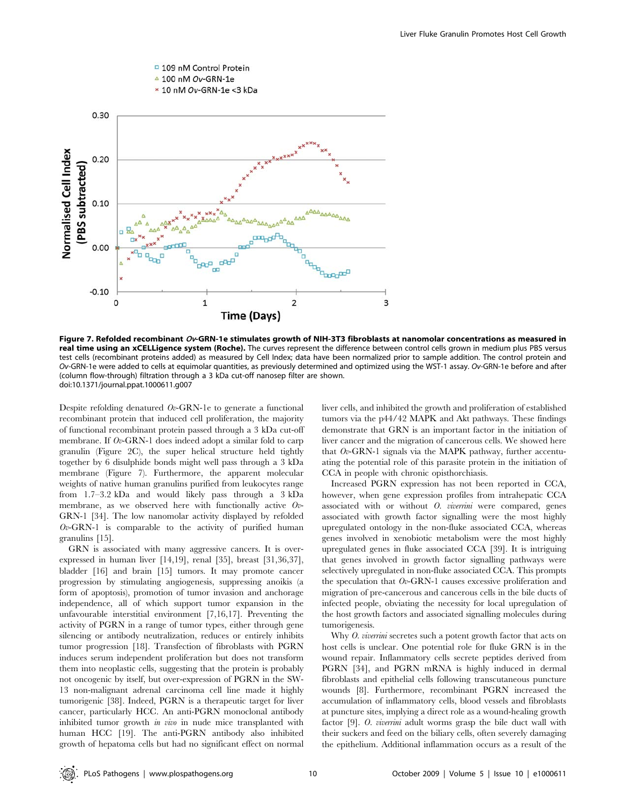

Figure 7. Refolded recombinant Ov-GRN-1e stimulates growth of NIH-3T3 fibroblasts at nanomolar concentrations as measured in real time using an xCELLigence system (Roche). The curves represent the difference between control cells grown in medium plus PBS versus test cells (recombinant proteins added) as measured by Cell Index; data have been normalized prior to sample addition. The control protein and Ov-GRN-1e were added to cells at equimolar quantities, as previously determined and optimized using the WST-1 assay. Ov-GRN-1e before and after (column flow-through) filtration through a 3 kDa cut-off nanosep filter are shown. doi:10.1371/journal.ppat.1000611.g007

Despite refolding denatured  $Ov$ -GRN-1e to generate a functional recombinant protein that induced cell proliferation, the majority of functional recombinant protein passed through a 3 kDa cut-off membrane. If  $Ov$ -GRN-1 does indeed adopt a similar fold to carp granulin (Figure 2C), the super helical structure held tightly together by 6 disulphide bonds might well pass through a 3 kDa membrane (Figure 7). Furthermore, the apparent molecular weights of native human granulins purified from leukocytes range from 1.7–3.2 kDa and would likely pass through a 3 kDa membrane, as we observed here with functionally active Ov-GRN-1 [34]. The low nanomolar activity displayed by refolded  $Ov$ -GRN-1 is comparable to the activity of purified human granulins [15].

GRN is associated with many aggressive cancers. It is overexpressed in human liver [14,19], renal [35], breast [31,36,37], bladder [16] and brain [15] tumors. It may promote cancer progression by stimulating angiogenesis, suppressing anoikis (a form of apoptosis), promotion of tumor invasion and anchorage independence, all of which support tumor expansion in the unfavourable interstitial environment [7,16,17]. Preventing the activity of PGRN in a range of tumor types, either through gene silencing or antibody neutralization, reduces or entirely inhibits tumor progression [18]. Transfection of fibroblasts with PGRN induces serum independent proliferation but does not transform them into neoplastic cells, suggesting that the protein is probably not oncogenic by itself, but over-expression of PGRN in the SW-13 non-malignant adrenal carcinoma cell line made it highly tumorigenic [38]. Indeed, PGRN is a therapeutic target for liver cancer, particularly HCC. An anti-PGRN monoclonal antibody inhibited tumor growth in vivo in nude mice transplanted with human HCC [19]. The anti-PGRN antibody also inhibited growth of hepatoma cells but had no significant effect on normal liver cells, and inhibited the growth and proliferation of established tumors via the p44/42 MAPK and Akt pathways. These findings demonstrate that GRN is an important factor in the initiation of liver cancer and the migration of cancerous cells. We showed here that  $Ov$ -GRN-1 signals via the MAPK pathway, further accentuating the potential role of this parasite protein in the initiation of CCA in people with chronic opisthorchiasis.

Increased PGRN expression has not been reported in CCA, however, when gene expression profiles from intrahepatic CCA associated with or without  $O.$  viverrini were compared, genes associated with growth factor signalling were the most highly upregulated ontology in the non-fluke associated CCA, whereas genes involved in xenobiotic metabolism were the most highly upregulated genes in fluke associated CCA [39]. It is intriguing that genes involved in growth factor signalling pathways were selectively upregulated in non-fluke associated CCA. This prompts the speculation that  $Ov$ -GRN-1 causes excessive proliferation and migration of pre-cancerous and cancerous cells in the bile ducts of infected people, obviating the necessity for local upregulation of the host growth factors and associated signalling molecules during tumorigenesis.

Why *O. viverrini* secretes such a potent growth factor that acts on host cells is unclear. One potential role for fluke GRN is in the wound repair. Inflammatory cells secrete peptides derived from PGRN [34], and PGRN mRNA is highly induced in dermal fibroblasts and epithelial cells following transcutaneous puncture wounds [8]. Furthermore, recombinant PGRN increased the accumulation of inflammatory cells, blood vessels and fibroblasts at puncture sites, implying a direct role as a wound-healing growth factor [9]. O. viverrini adult worms grasp the bile duct wall with their suckers and feed on the biliary cells, often severely damaging the epithelium. Additional inflammation occurs as a result of the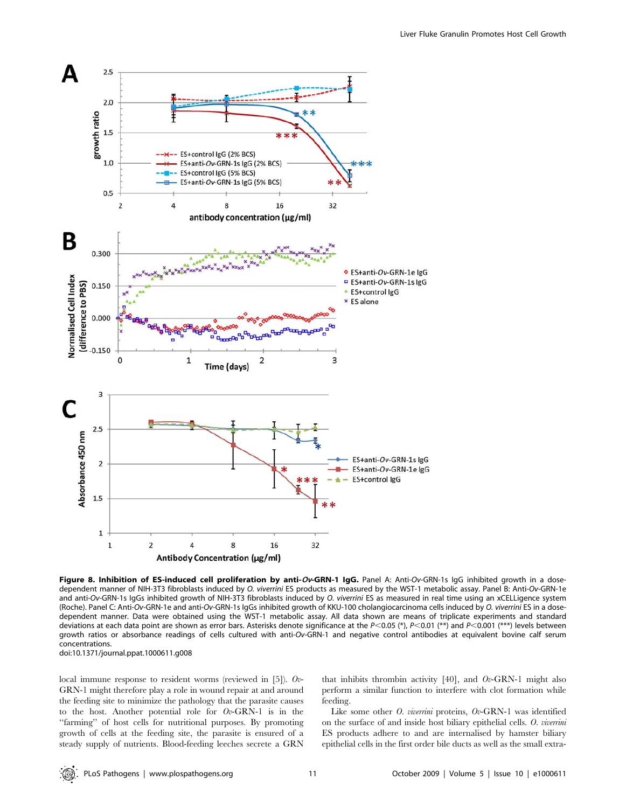

Figure 8. Inhibition of ES-induced cell proliferation by anti-Ov-GRN-1 IgG. Panel A: Anti-Ov-GRN-1s IgG inhibited growth in a dosedependent manner of NIH-3T3 fibroblasts induced by O. viverrini ES products as measured by the WST-1 metabolic assay. Panel B: Anti-Ov-GRN-1e and anti-Ov-GRN-1s IgGs inhibited growth of NIH-3T3 fibroblasts induced by O. viverrini ES as measured in real time using an xCELLigence system (Roche). Panel C: Anti-Ov-GRN-1e and anti-Ov-GRN-1s IgGs inhibited growth of KKU-100 cholangiocarcinoma cells induced by O. viverrini ES in a dosedependent manner. Data were obtained using the WST-1 metabolic assay. All data shown are means of triplicate experiments and standard deviations at each data point are shown as error bars. Asterisks denote significance at the  $P<0.05$  (\*),  $P<0.01$  (\*\*) and  $P<0.001$  (\*\*\*) levels between growth ratios or absorbance readings of cells cultured with anti-Ov-GRN-1 and negative control antibodies at equivalent bovine calf serum concentrations.

doi:10.1371/journal.ppat.1000611.g008

local immune response to resident worms (reviewed in [5]). Ov-GRN-1 might therefore play a role in wound repair at and around the feeding site to minimize the pathology that the parasite causes to the host. Another potential role for  $Ov$ -GRN-1 is in the ''farming'' of host cells for nutritional purposes. By promoting growth of cells at the feeding site, the parasite is ensured of a steady supply of nutrients. Blood-feeding leeches secrete a GRN that inhibits thrombin activity [40], and  $Ov$ -GRN-1 might also perform a similar function to interfere with clot formation while feeding.

Like some other *O. viverrini* proteins, *Ov*-GRN-1 was identified on the surface of and inside host biliary epithelial cells. O. viverrini ES products adhere to and are internalised by hamster biliary epithelial cells in the first order bile ducts as well as the small extra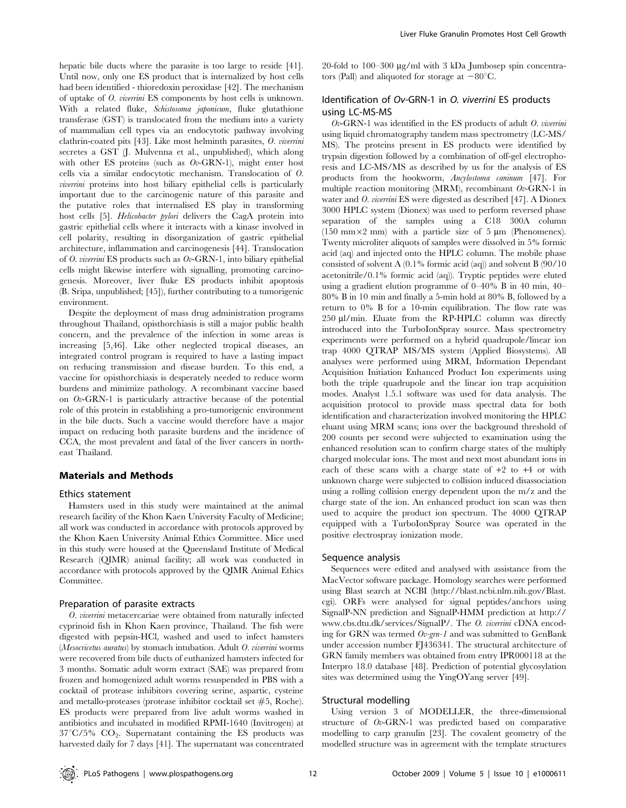hepatic bile ducts where the parasite is too large to reside [41]. Until now, only one ES product that is internalized by host cells had been identified - thioredoxin peroxidase [42]. The mechanism of uptake of O. viverrini ES components by host cells is unknown. With a related fluke, Schistosoma japonicum, fluke glutathione transferase (GST) is translocated from the medium into a variety of mammalian cell types via an endocytotic pathway involving clathrin-coated pits [43]. Like most helminth parasites, O. viverrini secretes a GST (J. Mulvenna et al., unpublished), which along with other ES proteins (such as  $Ov$ -GRN-1), might enter host cells via a similar endocytotic mechanism. Translocation of O. viverrini proteins into host biliary epithelial cells is particularly important due to the carcinogenic nature of this parasite and the putative roles that internalised ES play in transforming host cells [5]. Helicobacter pylori delivers the CagA protein into gastric epithelial cells where it interacts with a kinase involved in cell polarity, resulting in disorganization of gastric epithelial architecture, inflammation and carcinogenesis [44]. Translocation of O. viverrini ES products such as  $Ov$ -GRN-1, into biliary epithelial cells might likewise interfere with signalling, promoting carcinogenesis. Moreover, liver fluke ES products inhibit apoptosis (B. Sripa, unpublished; [45]), further contributing to a tumorigenic environment.

Despite the deployment of mass drug administration programs throughout Thailand, opisthorchiasis is still a major public health concern, and the prevalence of the infection in some areas is increasing [5,46]. Like other neglected tropical diseases, an integrated control program is required to have a lasting impact on reducing transmission and disease burden. To this end, a vaccine for opisthorchiasis is desperately needed to reduce worm burdens and minimize pathology. A recombinant vaccine based on  $Ov$ -GRN-1 is particularly attractive because of the potential role of this protein in establishing a pro-tumorigenic environment in the bile ducts. Such a vaccine would therefore have a major impact on reducing both parasite burdens and the incidence of CCA, the most prevalent and fatal of the liver cancers in northeast Thailand.

## Materials and Methods

#### Ethics statement

Hamsters used in this study were maintained at the animal research facility of the Khon Kaen University Faculty of Medicine; all work was conducted in accordance with protocols approved by the Khon Kaen University Animal Ethics Committee. Mice used in this study were housed at the Queensland Institute of Medical Research (QIMR) animal facility; all work was conducted in accordance with protocols approved by the QIMR Animal Ethics Committee.

#### Preparation of parasite extracts

O. viverrini metacercariae were obtained from naturally infected cyprinoid fish in Khon Kaen province, Thailand. The fish were digested with pepsin-HCl, washed and used to infect hamsters (Mesocricetus auratus) by stomach intubation. Adult O. viverrini worms were recovered from bile ducts of euthanized hamsters infected for 3 months. Somatic adult worm extract (SAE) was prepared from frozen and homogenized adult worms resuspended in PBS with a cocktail of protease inhibitors covering serine, aspartic, cysteine and metallo-proteases (protease inhibitor cocktail set *#*5, Roche). ES products were prepared from live adult worms washed in antibiotics and incubated in modified RPMI-1640 (Invitrogen) at  $37^{\circ}C/5\%$  CO<sub>2</sub>. Supernatant containing the ES products was harvested daily for 7 days [41]. The supernatant was concentrated 20-fold to  $100-300 \mu g/ml$  with 3 kDa Jumbosep spin concentrators (Pall) and aliquoted for storage at  $-80^{\circ}$ C.

## Identification of Ov-GRN-1 in O. viverrini ES products using LC-MS-MS

 $Ov$ -GRN-1 was identified in the ES products of adult  $O$ . viverrini using liquid chromatography tandem mass spectrometry (LC-MS/ MS). The proteins present in ES products were identified by trypsin digestion followed by a combination of off-gel electrophoresis and LC-MS/MS as described by us for the analysis of ES products from the hookworm, Ancylostoma caninum [47]. For multiple reaction monitoring (MRM), recombinant  $Ov$ -GRN-1 in water and *O. viverrini* ES were digested as described [47]. A Dionex 3000 HPLC system (Dionex) was used to perform reversed phase separation of the samples using a C18 300A column  $(150 \text{ mm} \times 2 \text{ mm})$  with a particle size of 5 um (Phenomenex). Twenty microliter aliquots of samples were dissolved in 5% formic acid (aq) and injected onto the HPLC column. The mobile phase consisted of solvent A (0.1% formic acid (aq)) and solvent B (90/10 acetonitrile/0.1% formic acid (aq)). Tryptic peptides were eluted using a gradient elution programme of 0–40% B in 40 min, 40– 80% B in 10 min and finally a 5-min hold at 80% B, followed by a return to 0% B for a 10-min equilibration. The flow rate was 250 µl/min. Eluate from the RP-HPLC column was directly introduced into the TurboIonSpray source. Mass spectrometry experiments were performed on a hybrid quadrupole/linear ion trap 4000 QTRAP MS/MS system (Applied Biosystems). All analyses were performed using MRM, Information Dependant Acquisition Initiation Enhanced Product Ion experiments using both the triple quadrupole and the linear ion trap acquisition modes. Analyst 1.5.1 software was used for data analysis. The acquisition protocol to provide mass spectral data for both identification and characterization involved monitoring the HPLC eluant using MRM scans; ions over the background threshold of 200 counts per second were subjected to examination using the enhanced resolution scan to confirm charge states of the multiply charged molecular ions. The most and next most abundant ions in each of these scans with a charge state of  $+2$  to  $+4$  or with unknown charge were subjected to collision induced disassociation using a rolling collision energy dependent upon the m/z and the charge state of the ion. An enhanced product ion scan was then used to acquire the product ion spectrum. The 4000 QTRAP equipped with a TurboIonSpray Source was operated in the positive electrospray ionization mode.

#### Sequence analysis

Sequences were edited and analysed with assistance from the MacVector software package. Homology searches were performed using Blast search at NCBI (http://blast.ncbi.nlm.nih.gov/Blast. cgi). ORFs were analysed for signal peptides/anchors using SignalP-NN prediction and SignalP-HMM prediction at http:// www.cbs.dtu.dk/services/SignalP/. The O. viverrini cDNA encoding for GRN was termed  $Ov$ -grn-1 and was submitted to GenBank under accession number FJ436341. The structural architecture of GRN family members was obtained from entry IPR000118 at the Interpro 18.0 database [48]. Prediction of potential glycosylation sites was determined using the YingOYang server [49].

#### Structural modelling

Using version 3 of MODELLER, the three-dimensional structure of Ov-GRN-1 was predicted based on comparative modelling to carp granulin [23]. The covalent geometry of the modelled structure was in agreement with the template structures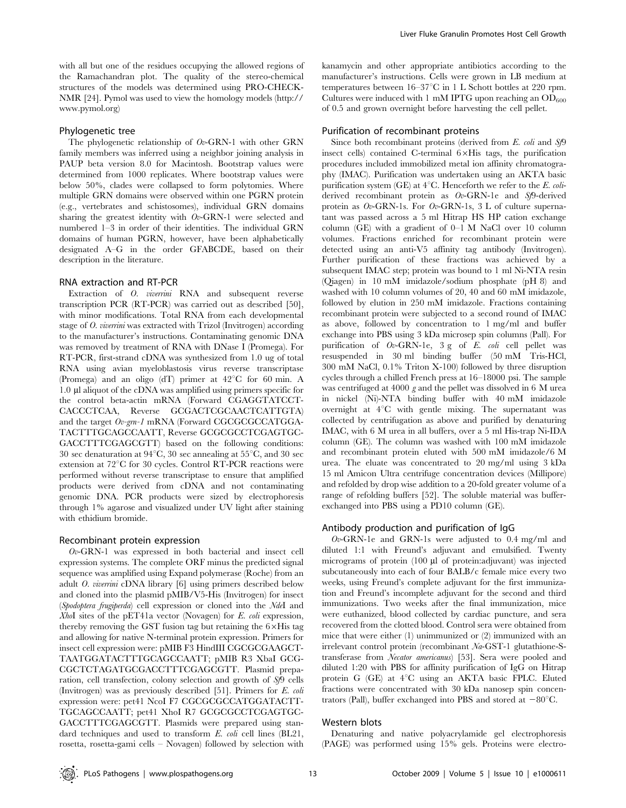with all but one of the residues occupying the allowed regions of the Ramachandran plot. The quality of the stereo-chemical structures of the models was determined using PRO-CHECK-NMR [24]. Pymol was used to view the homology models (http:// www.pymol.org)

#### Phylogenetic tree

The phylogenetic relationship of  $Ov$ -GRN-1 with other GRN family members was inferred using a neighbor joining analysis in PAUP beta version 8.0 for Macintosh. Bootstrap values were determined from 1000 replicates. Where bootstrap values were below 50%, clades were collapsed to form polytomies. Where multiple GRN domains were observed within one PGRN protein (e.g., vertebrates and schistosomes), individual GRN domains sharing the greatest identity with  $Ov$ -GRN-1 were selected and numbered 1–3 in order of their identities. The individual GRN domains of human PGRN, however, have been alphabetically designated A–G in the order GFABCDE, based on their description in the literature.

#### RNA extraction and RT-PCR

Extraction of O. *viverrini* RNA and subsequent reverse transcription PCR (RT-PCR) was carried out as described [50], with minor modifications. Total RNA from each developmental stage of O. viverrini was extracted with Trizol (Invitrogen) according to the manufacturer's instructions. Contaminating genomic DNA was removed by treatment of RNA with DNase I (Promega). For RT-PCR, first-strand cDNA was synthesized from 1.0 ug of total RNA using avian myeloblastosis virus reverse transcriptase (Promega) and an oligo (dT) primer at  $42^{\circ}$ C for 60 min. A 1.0 ml aliquot of the cDNA was amplified using primers specific for the control beta-actin mRNA (Forward CGAGGTATCCT-CACCCTCAA, Reverse GCGACTCGCAACTCATTGTA) and the target  $Ov$ -gm-1 mRNA (Forward CGCGCGCCATGGA-TACTTTGCAGCCAATT, Reverse GCGCGCCTCGAGTGC-GACCTTTCGAGCGTT) based on the following conditions: 30 sec denaturation at  $94^{\circ}$ C, 30 sec annealing at  $55^{\circ}$ C, and 30 sec extension at  $72^{\circ}$ C for 30 cycles. Control RT-PCR reactions were performed without reverse transcriptase to ensure that amplified products were derived from cDNA and not contaminating genomic DNA. PCR products were sized by electrophoresis through 1% agarose and visualized under UV light after staining with ethidium bromide.

#### Recombinant protein expression

 $Ov$ -GRN-1 was expressed in both bacterial and insect cell expression systems. The complete ORF minus the predicted signal sequence was amplified using Expand polymerase (Roche) from an adult O. viverrini cDNA library [6] using primers described below and cloned into the plasmid pMIB/V5-His (Invitrogen) for insect (Spodoptera frugiperda) cell expression or cloned into the NdeI and XhoI sites of the pET41a vector (Novagen) for E. coli expression, thereby removing the GST fusion tag but retaining the  $6\times$ His tag and allowing for native N-terminal protein expression. Primers for insect cell expression were: pMIB F3 HindIII CGCGCGAAGCT-TAATGGATACTTTGCAGCCAATT; pMIB R3 XbaI GCG-CGCTCTAGATGCGACCTTTCGAGCGTT. Plasmid preparation, cell transfection, colony selection and growth of Sf9 cells (Invitrogen) was as previously described [51]. Primers for E. coli expression were: pet41 NcoI F7 CGCGCGCCATGGATACTT-TGCAGCCAATT; pet41 XhoI R7 GCGCGCCTCGAGTGC-GACCTTTCGAGCGTT. Plasmids were prepared using standard techniques and used to transform E. coli cell lines (BL21, rosetta, rosetta-gami cells – Novagen) followed by selection with

kanamycin and other appropriate antibiotics according to the manufacturer's instructions. Cells were grown in LB medium at temperatures between  $16-37^{\circ}\text{C}$  in 1 L Schott bottles at 220 rpm. Cultures were induced with 1 mM IPTG upon reaching an  $OD_{600}$ of 0.5 and grown overnight before harvesting the cell pellet.

#### Purification of recombinant proteins

Since both recombinant proteins (derived from E. coli and Sf9 insect cells) contained C-terminal  $6 \times His$  tags, the purification procedures included immobilized metal ion affinity chromatography (IMAC). Purification was undertaken using an AKTA basic purification system (GE) at  $4^{\circ}$ C. Henceforth we refer to the E. coliderived recombinant protein as Ov-GRN-1e and Sf9-derived protein as  $Ov$ -GRN-1s. For  $Ov$ -GRN-1s, 3 L of culture supernatant was passed across a 5 ml Hitrap HS HP cation exchange column (GE) with a gradient of  $0-1$  M NaCl over 10 column volumes. Fractions enriched for recombinant protein were detected using an anti-V5 affinity tag antibody (Invitrogen). Further purification of these fractions was achieved by a subsequent IMAC step; protein was bound to 1 ml Ni-NTA resin (Qiagen) in 10 mM imidazole/sodium phosphate (pH 8) and washed with 10 column volumes of 20, 40 and 60 mM imidazole, followed by elution in 250 mM imidazole. Fractions containing recombinant protein were subjected to a second round of IMAC as above, followed by concentration to 1 mg/ml and buffer exchange into PBS using 3 kDa microsep spin columns (Pall). For purification of Ov-GRN-1e, 3 g of E. coli cell pellet was resuspended in 30 ml binding buffer (50 mM Tris-HCl, 300 mM NaCl, 0.1% Triton X-100) followed by three disruption cycles through a chilled French press at 16–18000 psi. The sample was centrifuged at 4000 g and the pellet was dissolved in 6 M urea in nickel (Ni)-NTA binding buffer with 40 mM imidazole overnight at  $4^{\circ}$ C with gentle mixing. The supernatant was collected by centrifugation as above and purified by denaturing IMAC, with 6 M urea in all buffers, over a 5 ml His-trap Ni-IDA column (GE). The column was washed with 100 mM imidazole and recombinant protein eluted with 500 mM imidazole/6 M urea. The eluate was concentrated to 20 mg/ml using 3 kDa 15 ml Amicon Ultra centrifuge concentration devices (Millipore) and refolded by drop wise addition to a 20-fold greater volume of a range of refolding buffers [52]. The soluble material was bufferexchanged into PBS using a PD10 column (GE).

#### Antibody production and purification of IgG

 $Ov$ -GRN-1e and GRN-1s were adjusted to 0.4 mg/ml and diluted 1:1 with Freund's adjuvant and emulsified. Twenty micrograms of protein (100 µl of protein:adjuvant) was injected subcutaneously into each of four BALB/c female mice every two weeks, using Freund's complete adjuvant for the first immunization and Freund's incomplete adjuvant for the second and third immunizations. Two weeks after the final immunization, mice were euthanized, blood collected by cardiac puncture, and sera recovered from the clotted blood. Control sera were obtained from mice that were either (1) unimmunized or (2) immunized with an irrelevant control protein (recombinant Na-GST-1 glutathione-Stransferase from Necator americanus) [53]. Sera were pooled and diluted 1:20 with PBS for affinity purification of IgG on Hitrap protein G (GE) at  $4^{\circ}$ C using an AKTA basic FPLC. Eluted fractions were concentrated with 30 kDa nanosep spin concentrators (Pall), buffer exchanged into PBS and stored at  $-80^{\circ}$ C.

#### Western blots

Denaturing and native polyacrylamide gel electrophoresis (PAGE) was performed using 15% gels. Proteins were electro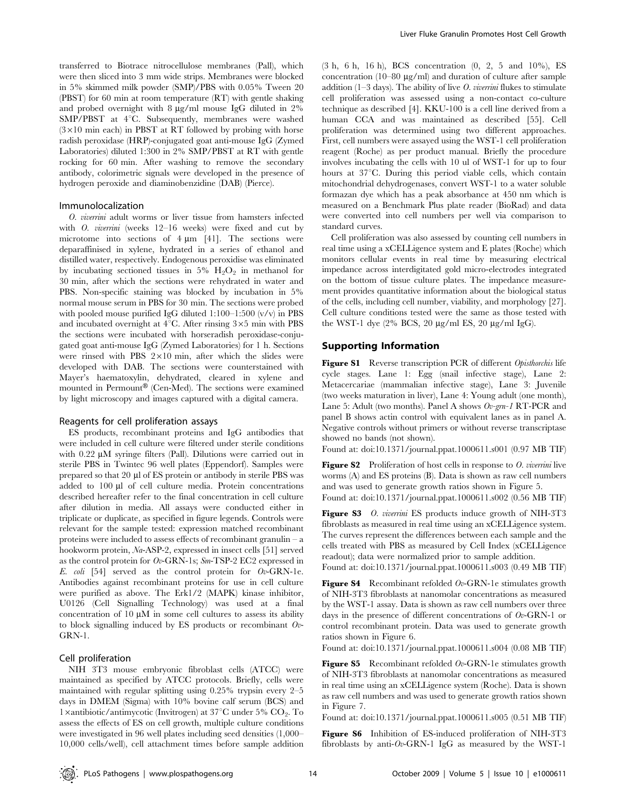transferred to Biotrace nitrocellulose membranes (Pall), which were then sliced into 3 mm wide strips. Membranes were blocked in 5% skimmed milk powder (SMP)/PBS with 0.05% Tween 20 (PBST) for 60 min at room temperature (RT) with gentle shaking and probed overnight with  $8 \mu g/ml$  mouse IgG diluted in  $2\%$  $SMP/PBST$  at  $4^{\circ}\mathrm{C}$ . Subsequently, membranes were washed  $(3\times10$  min each) in PBST at RT followed by probing with horse radish peroxidase (HRP)-conjugated goat anti-mouse IgG (Zymed Laboratories) diluted 1:300 in 2% SMP/PBST at RT with gentle rocking for 60 min. After washing to remove the secondary antibody, colorimetric signals were developed in the presence of hydrogen peroxide and diaminobenzidine (DAB) (Pierce).

#### Immunolocalization

O. viverrini adult worms or liver tissue from hamsters infected with *O. viverrini* (weeks 12–16 weeks) were fixed and cut by microtome into sections of  $4 \mu m$  [41]. The sections were deparaffinised in xylene, hydrated in a series of ethanol and distilled water, respectively. Endogenous peroxidise was eliminated by incubating sectioned tissues in  $5\%$  H<sub>2</sub>O<sub>2</sub> in methanol for 30 min, after which the sections were rehydrated in water and PBS. Non-specific staining was blocked by incubation in 5% normal mouse serum in PBS for 30 min. The sections were probed with pooled mouse purified IgG diluted  $1:100-1:500$  (v/v) in PBS and incubated overnight at  $4^{\circ}$ C. After rinsing  $3\times5$  min with PBS the sections were incubated with horseradish peroxidase-conjugated goat anti-mouse IgG (Zymed Laboratories) for 1 h. Sections were rinsed with PBS  $2 \times 10$  min, after which the slides were developed with DAB. The sections were counterstained with Mayer's haematoxylin, dehydrated, cleared in xylene and mounted in Permount<sup>®</sup> (Cen-Med). The sections were examined by light microscopy and images captured with a digital camera.

#### Reagents for cell proliferation assays

ES products, recombinant proteins and IgG antibodies that were included in cell culture were filtered under sterile conditions with  $0.22 \mu M$  syringe filters (Pall). Dilutions were carried out in sterile PBS in Twintec 96 well plates (Eppendorf). Samples were prepared so that 20 µl of ES protein or antibody in sterile PBS was added to 100 µl of cell culture media. Protein concentrations described hereafter refer to the final concentration in cell culture after dilution in media. All assays were conducted either in triplicate or duplicate, as specified in figure legends. Controls were relevant for the sample tested: expression matched recombinant proteins were included to assess effects of recombinant granulin – a hookworm protein, Na-ASP-2, expressed in insect cells [51] served as the control protein for Ov-GRN-1s; Sm-TSP-2 EC2 expressed in E. coli [54] served as the control protein for  $0v$ -GRN-1e. Antibodies against recombinant proteins for use in cell culture were purified as above. The Erk1/2 (MAPK) kinase inhibitor, U0126 (Cell Signalling Technology) was used at a final concentration of 10  $\mu$ M in some cell cultures to assess its ability to block signalling induced by ES products or recombinant  $Ov$ -GRN-1.

#### Cell proliferation

NIH 3T3 mouse embryonic fibroblast cells (ATCC) were maintained as specified by ATCC protocols. Briefly, cells were maintained with regular splitting using 0.25% trypsin every 2–5 days in DMEM (Sigma) with 10% bovine calf serum (BCS) and 1 ×antibiotic/antimycotic (Invitrogen) at  $37^{\circ}$ C under 5% CO<sub>2</sub>. To assess the effects of ES on cell growth, multiple culture conditions were investigated in 96 well plates including seed densities (1,000– 10,000 cells/well), cell attachment times before sample addition (3 h, 6 h, 16 h), BCS concentration (0, 2, 5 and 10%), ES concentration (10–80  $\mu$ g/ml) and duration of culture after sample addition (1–3 days). The ability of live  $O$ . *viverrini* flukes to stimulate cell proliferation was assessed using a non-contact co-culture technique as described [4]. KKU-100 is a cell line derived from a human CCA and was maintained as described [55]. Cell proliferation was determined using two different approaches. First, cell numbers were assayed using the WST-1 cell proliferation reagent (Roche) as per product manual. Briefly the procedure involves incubating the cells with 10 ul of WST-1 for up to four hours at  $37^{\circ}$ C. During this period viable cells, which contain mitochondrial dehydrogenases, convert WST-1 to a water soluble formazan dye which has a peak absorbance at 450 nm which is measured on a Benchmark Plus plate reader (BioRad) and data were converted into cell numbers per well via comparison to standard curves.

Cell proliferation was also assessed by counting cell numbers in real time using a xCELLigence system and E plates (Roche) which monitors cellular events in real time by measuring electrical impedance across interdigitated gold micro-electrodes integrated on the bottom of tissue culture plates. The impedance measurement provides quantitative information about the biological status of the cells, including cell number, viability, and morphology [27]. Cell culture conditions tested were the same as those tested with the WST-1 dye  $(2\%$  BCS,  $20 \mu g/ml$  ES,  $20 \mu g/ml$  IgG).

#### Supporting Information

Figure S1 Reverse transcription PCR of different Opisthorchis life cycle stages. Lane 1: Egg (snail infective stage), Lane 2: Metacercariae (mammalian infective stage), Lane 3: Juvenile (two weeks maturation in liver), Lane 4: Young adult (one month), Lane 5: Adult (two months). Panel A shows Ov-grn-1 RT-PCR and panel B shows actin control with equivalent lanes as in panel A. Negative controls without primers or without reverse transcriptase showed no bands (not shown).

Found at: doi:10.1371/journal.ppat.1000611.s001 (0.97 MB TIF)

Figure S2 Proliferation of host cells in response to O. viverrini live worms (A) and ES proteins (B). Data is shown as raw cell numbers and was used to generate growth ratios shown in Figure 5. Found at: doi:10.1371/journal.ppat.1000611.s002 (0.56 MB TIF)

Figure S3 O. viverrini ES products induce growth of NIH-3T3 fibroblasts as measured in real time using an xCELLigence system. The curves represent the differences between each sample and the cells treated with PBS as measured by Cell Index (xCELLigence readout); data were normalized prior to sample addition.

Found at: doi:10.1371/journal.ppat.1000611.s003 (0.49 MB TIF)

**Figure S4** Recombinant refolded  $Ov$ -GRN-1e stimulates growth of NIH-3T3 fibroblasts at nanomolar concentrations as measured by the WST-1 assay. Data is shown as raw cell numbers over three days in the presence of different concentrations of  $Ov$ -GRN-1 or control recombinant protein. Data was used to generate growth ratios shown in Figure 6.

Found at: doi:10.1371/journal.ppat.1000611.s004 (0.08 MB TIF)

**Figure S5** Recombinant refolded  $Ov$ -GRN-1e stimulates growth of NIH-3T3 fibroblasts at nanomolar concentrations as measured in real time using an xCELLigence system (Roche). Data is shown as raw cell numbers and was used to generate growth ratios shown in Figure 7.

Found at: doi:10.1371/journal.ppat.1000611.s005 (0.51 MB TIF)

Figure S6 Inhibition of ES-induced proliferation of NIH-3T3 fibroblasts by anti- $Ov$ -GRN-1 IgG as measured by the WST-1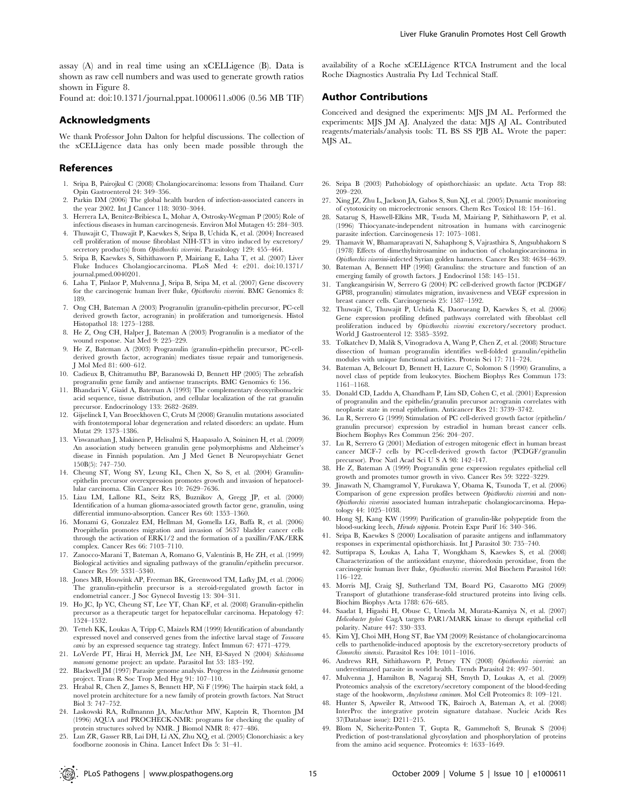assay (A) and in real time using an xCELLigence (B). Data is shown as raw cell numbers and was used to generate growth ratios shown in Figure 8.

Found at: doi:10.1371/journal.ppat.1000611.s006 (0.56 MB TIF)

#### Acknowledgments

We thank Professor John Dalton for helpful discussions. The collection of the xCELLigence data has only been made possible through the

#### References

- 1. Sripa B, Pairojkul C (2008) Cholangiocarcinoma: lessons from Thailand. Curr Opin Gastroenterol 24: 349–356.
- Parkin DM (2006) The global health burden of infection-associated cancers in the year 2002. Int J Cancer 118: 3030–3044.
- 3. Herrera LA, Benitez-Bribiesca L, Mohar A, Ostrosky-Wegman P (2005) Role of infectious diseases in human carcinogenesis. Environ Mol Mutagen 45: 284–303.
- 4. Thuwajit C, Thuwajit P, Kaewkes S, Sripa B, Uchida K, et al. (2004) Increased cell proliferation of mouse fibroblast NIH-3T3 in vitro induced by excretory/ secretory product(s) from Opisthorchis viverrini. Parasitology 129: 455-464.
- 5. Sripa B, Kaewkes S, Sithithaworn P, Mairiang E, Laha T, et al. (2007) Liver Fluke Induces Cholangiocarcinoma. PLoS Med 4: e201. doi:10.1371/ journal.pmed.0040201.
- 6. Laha T, Pinlaor P, Mulvenna J, Sripa B, Sripa M, et al. (2007) Gene discovery for the carcinogenic human liver fluke, Opisthorchis viverrimi. BMC Genomics 8: 189.
- 7. Ong CH, Bateman A (2003) Progranulin (granulin-epithelin precursor, PC-cell derived growth factor, acrogranin) in proliferation and tumorigenesis. Histol Histopathol 18: 1275–1288.
- 8. He Z, Ong CH, Halper J, Bateman A (2003) Progranulin is a mediator of the wound response. Nat Med 9: 225–229.
- 9. He Z, Bateman A (2003) Progranulin (granulin-epithelin precursor, PC-cellderived growth factor, acrogranin) mediates tissue repair and tumorigenesis. J Mol Med 81: 600–612.
- 10. Cadieux B, Chitramuthu BP, Baranowski D, Bennett HP (2005) The zebrafish progranulin gene family and antisense transcripts. BMC Genomics 6: 156.
- 11. Bhandari V, Giaid A, Bateman A (1993) The complementary deoxyribonucleic acid sequence, tissue distribution, and cellular localization of the rat granulin precursor. Endocrinology 133: 2682–2689.
- 12. Gijselinck I, Van Broeckhoven C, Cruts M (2008) Granulin mutations associated with frontotemporal lobar degeneration and related disorders: an update. Hum Mutat 29: 1373–1386.
- 13. Viswanathan J, Makinen P, Helisalmi S, Haapasalo A, Soininen H, et al. (2009) An association study between granulin gene polymorphisms and Alzheimer's disease in Finnish population. Am J Med Genet B Neuropsychiatr Genet 150B(5): 747–750.
- 14. Cheung ST, Wong SY, Leung KL, Chen X, So S, et al. (2004) Granulinepithelin precursor overexpression promotes growth and invasion of hepatocel-lular carcinoma. Clin Cancer Res 10: 7629–7636.
- 15. Liau LM, Lallone RL, Seitz RS, Buznikov A, Gregg JP, et al. (2000) Identification of a human glioma-associated growth factor gene, granulin, using differential immuno-absorption. Cancer Res 60: 1353–1360.
- 16. Monami G, Gonzalez EM, Hellman M, Gomella LG, Baffa R, et al. (2006) Proepithelin promotes migration and invasion of 5637 bladder cancer cells through the activation of ERK1/2 and the formation of a paxillin/FAK/ERK complex. Cancer Res 66: 7103–7110.
- 17. Zanocco-Marani T, Bateman A, Romano G, Valentinis B, He ZH, et al. (1999) Biological activities and signaling pathways of the granulin/epithelin precursor. Cancer Res 59: 5331–5340.
- 18. Jones MB, Houwink AP, Freeman BK, Greenwood TM, Lafky JM, et al. (2006) The granulin-epithelin precursor is a steroid-regulated growth factor in endometrial cancer. J Soc Gynecol Investig 13: 304–311.
- 19. Ho JC, Ip YC, Cheung ST, Lee YT, Chan KF, et al. (2008) Granulin-epithelin precursor as a therapeutic target for hepatocellular carcinoma. Hepatology 47: 1524–1532.
- 20. Tetteh KK, Loukas A, Tripp C, Maizels RM (1999) Identification of abundantly expressed novel and conserved genes from the infective larval stage of Toxocara canis by an expressed sequence tag strategy. Infect Immun 67: 4771-4779.
- 21. LoVerde PT, Hirai H, Merrick JM, Lee NH, El-Sayed N (2004) Schistosoma mansoni genome project: an update. Parasitol Int 53: 183–192.
- 22. Blackwell JM (1997) Parasite genome analysis. Progress in the Leishmania genome project. Trans R Soc Trop Med Hyg 91: 107–110.
- 23. Hrabal R, Chen Z, James S, Bennett HP, Ni F (1996) The hairpin stack fold, a novel protein architecture for a new family of protein growth factors. Nat Struct Biol 3: 747–752.
- 24. Laskowski RA, Rullmannn JA, MacArthur MW, Kaptein R, Thornton JM (1996) AQUA and PROCHECK-NMR: programs for checking the quality of protein structures solved by NMR. J Biomol NMR 8: 477–486.
- 25. Lun ZR, Gasser RB, Lai DH, Li AX, Zhu XQ, et al. (2005) Clonorchiasis: a key foodborne zoonosis in China. Lancet Infect Dis 5: 31–41.

availability of a Roche xCELLigence RTCA Instrument and the local Roche Diagnostics Australia Pty Ltd Technical Staff.

## Author Contributions

Conceived and designed the experiments: MJS JM AL. Performed the experiments: MJS JM AJ. Analyzed the data: MJS AJ AL. Contributed reagents/materials/analysis tools: TL BS SS PJB AL. Wrote the paper: MJS AL.

- 26. Sripa B (2003) Pathobiology of opisthorchiasis: an update. Acta Trop 88: 209–220.
- 27. Xing JZ, Zhu L, Jackson JA, Gabos S, Sun XJ, et al. (2005) Dynamic monitoring of cytotoxicity on microelectronic sensors. Chem Res Toxicol 18: 154–161.
- 28. Satarug S, Haswell-Elkins MR, Tsuda M, Mairiang P, Sithithaworn P, et al. (1996) Thiocyanate-independent nitrosation in humans with carcinogenic parasite infection. Carcinogenesis 17: 1075–1081.
- 29. Thamavit W, Bhamarapravati N, Sahaphong S, Vajrasthira S, Angsubhakorn S (1978) Effects of dimethylnitrosamine on induction of cholangiocarcinoma in Opisthorchis viverrini-infected Syrian golden hamsters. Cancer Res 38: 4634–4639.
- 30. Bateman A, Bennett HP (1998) Granulins: the structure and function of an emerging family of growth factors. J Endocrinol 158: 145–151.
- 31. Tangkeangsirisin W, Serrero G (2004) PC cell-derived growth factor (PCDGF/ GP88, progranulin) stimulates migration, invasiveness and VEGF expression in breast cancer cells. Carcinogenesis 25: 1587–1592.
- 32. Thuwajit C, Thuwajit P, Uchida K, Daorueang D, Kaewkes S, et al. (2006) Gene expression profiling defined pathways correlated with fibroblast cell proliferation induced by Opisthorchis viverrini excretory/secretory product. World J Gastroenterol 12: 3585-3592.
- 33. Tolkatchev D, Malik S, Vinogradova A, Wang P, Chen Z, et al. (2008) Structure dissection of human progranulin identifies well-folded granulin/epithelin modules with unique functional activities. Protein Sci 17: 711–724.
- 34. Bateman A, Belcourt D, Bennett H, Lazure C, Solomon S (1990) Granulins, a novel class of peptide from leukocytes. Biochem Biophys Res Commun 173: 1161–1168.
- 35. Donald CD, Laddu A, Chandham P, Lim SD, Cohen C, et al. (2001) Expression of progranulin and the epithelin/granulin precursor acrogranin correlates with neoplastic state in renal epithelium. Anticancer Res 21: 3739–3742.
- 36. Lu R, Serrero G (1999) Stimulation of PC cell-derived growth factor (epithelin/ granulin precursor) expression by estradiol in human breast cancer cells. Biochem Biophys Res Commun 256: 204–207.
- 37. Lu R, Serrero G (2001) Mediation of estrogen mitogenic effect in human breast cancer MCF-7 cells by PC-cell-derived growth factor (PCDGF/granulin precursor). Proc Natl Acad Sci U S A 98: 142–147.
- 38. He Z, Bateman A (1999) Progranulin gene expression regulates epithelial cell growth and promotes tumor growth in vivo. Cancer Res 59: 3222–3229.
- 39. Jinawath N, Chamgramol Y, Furukawa Y, Obama K, Tsunoda T, et al. (2006) Comparison of gene expression profiles between Opisthorchis viverrini and non-Opisthorchis viverrini associated human intrahepatic cholangiocarcinoma. Hepatology 44: 1025–1038.
- 40. Hong SJ, Kang KW (1999) Purification of granulin-like polypeptide from the blood-sucking leech, Hirudo nipponia. Protein Expr Purif 16: 340–346.
- 41. Sripa B, Kaewkes S (2000) Localisation of parasite antigens and inflammatory responses in experimental opisthorchiasis. Int J Parasitol 30: 735–740.
- 42. Suttiprapa S, Loukas A, Laha T, Wongkham S, Kaewkes S, et al. (2008) Characterization of the antioxidant enzyme, thioredoxin peroxidase, from the carcinogenic human liver fluke, Opisthorchis viverrini. Mol Biochem Parasitol 160: 116–122.
- 43. Morris MJ, Craig SJ, Sutherland TM, Board PG, Casarotto MG (2009) Transport of glutathione transferase-fold structured proteins into living cells. Biochim Biophys Acta 1788: 676–685.
- 44. Saadat I, Higashi H, Obuse C, Umeda M, Murata-Kamiya N, et al. (2007) Helicobacter pylori CagA targets PAR1/MARK kinase to disrupt epithelial cell polarity. Nature 447: 330–333.
- 45. Kim YJ, Choi MH, Hong ST, Bae YM (2009) Resistance of cholangiocarcinoma cells to parthenolide-induced apoptosis by the excretory-secretory products of Clonorchis sinensis. Parasitol Res 104: 1011–1016.
- 46. Andrews RH, Sithithaworn P, Petney TN (2008) Opisthorchis viverrini: an underestimated parasite in world health. Trends Parasitol 24: 497–501.
- 47. Mulvenna J, Hamilton B, Nagaraj SH, Smyth D, Loukas A, et al. (2009) Proteomics analysis of the excretory/secretory component of the blood-feeding stage of the hookworm, Ancylostoma caninum. Mol Cell Proteomics 8: 109–121.
- 48. Hunter S, Apweiler R, Attwood TK, Bairoch A, Bateman A, et al. (2008) InterPro: the integrative protein signature database. Nucleic Acids Res 37(Database issue): D211–215.
- 49. Blom N, Sicheritz-Ponten T, Gupta R, Gammeltoft S, Brunak S (2004) Prediction of post-translational glycosylation and phosphorylation of proteins from the amino acid sequence. Proteomics 4: 1633–1649.